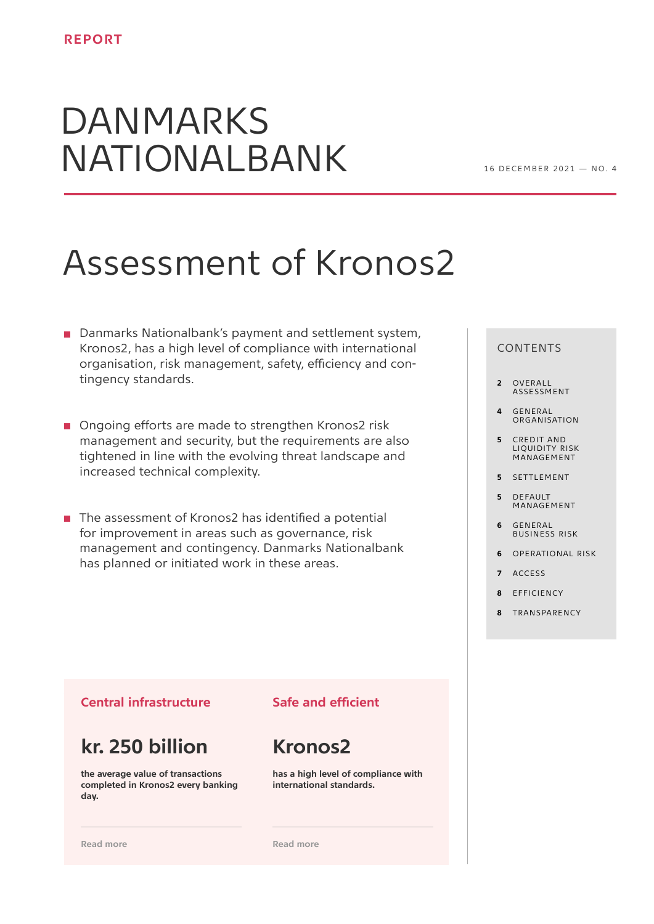# DANMARKS NATIONALBANK

# Assessment of Kronos2

- Danmarks Nationalbank's payment and settlement system, Kronos2, has a high level of compliance with international organisation, risk management, safety, efficiency and contingency standards.
- Ongoing efforts are made to strengthen Kronos2 risk management and security, but the requirements are also tightened in line with the evolving threat landscape and increased technical complexity.
- $\blacksquare$  The assessment of Kronos2 has identified a potential for improvement in areas such as governance, risk management and contingency. Danmarks Nationalbank has planned or initiated work in these areas.

## CONTENTS

- **2** OVERALL [ASSESSMENT](#page-1-0)
- **4** GENERAL [ORGANISATION](#page-3-0)
- **5** CREDIT AND [LIQUIDITY RISK](#page-4-0)  MANAGEMENT
- **5** SETTLEMENT
- **5** DEFAULT MANAGEMENT
- **6** GENERAL BUSINESS RISK
- **6** [OPERATIONAL RISK](#page-5-0)
- **7** [ACCESS](#page-6-0)
- **8** EFFICIENCY
- **8** [TRANSPARENCY](#page-7-0)

# **Central infrastructure**

# **kr. 250 billion**

**the average value of transactions completed in Kronos2 every banking day.**

# **Safe and efficient**

# **Kronos2**

**has a high level of compliance with international standards.**

**[Read more](#page-1-0)**

**[Read more](#page-2-0)**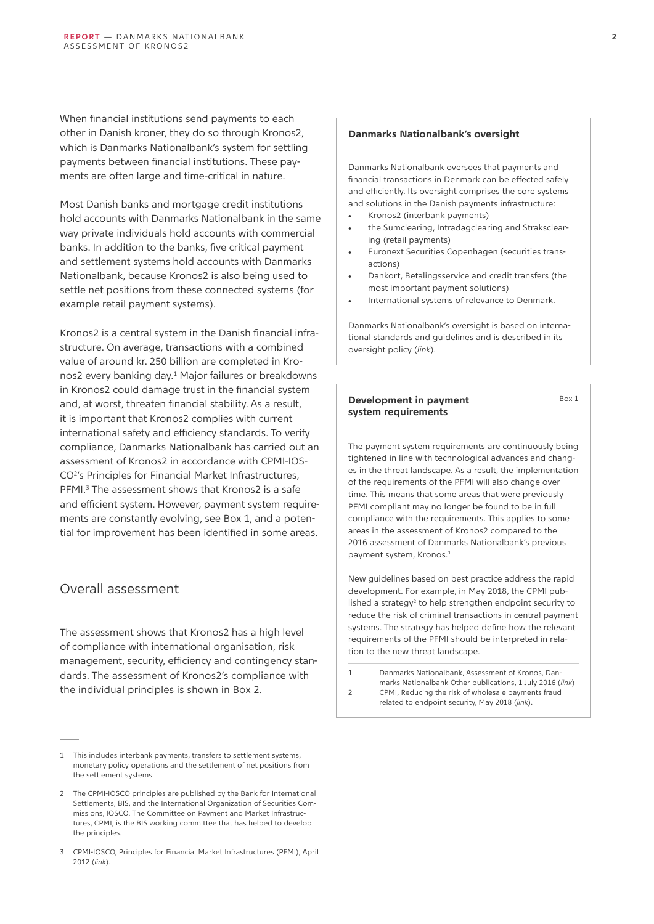<span id="page-1-0"></span>When financial institutions send payments to each other in Danish kroner, they do so through Kronos2, which is Danmarks Nationalbank's system for settling payments between financial institutions. These payments are often large and time-critical in nature.

Most Danish banks and mortgage credit institutions hold accounts with Danmarks Nationalbank in the same way private individuals hold accounts with commercial banks. In addition to the banks, five critical payment and settlement systems hold accounts with Danmarks Nationalbank, because Kronos2 is also being used to settle net positions from these connected systems (for example retail payment systems).

Kronos2 is a central system in the Danish financial infrastructure. On average, transactions with a combined value of around kr. 250 billion are completed in Kronos2 every banking day.1 Major failures or breakdowns in Kronos2 could damage trust in the financial system and, at worst, threaten financial stability. As a result, it is important that Kronos2 complies with current international safety and efficiency standards. To verify compliance, Danmarks Nationalbank has carried out an assessment of Kronos2 in accordance with CPMI-IOS-CO<sup>2</sup>'s Principles for Financial Market Infrastructures, PFMI.<sup>3</sup> The assessment shows that Kronos2 is a safe and efficient system. However, payment system requirements are constantly evolving, see Box 1, and a potential for improvement has been identified in some areas.

# Overall assessment

The assessment shows that Kronos2 has a high level of compliance with international organisation, risk management, security, efficiency and contingency standards. The assessment of Kronos2's compliance with the individual principles is shown in Box 2.

#### **Danmarks Nationalbank's oversight**

Danmarks Nationalbank oversees that payments and financial transactions in Denmark can be effected safely and efficiently. Its oversight comprises the core systems and solutions in the Danish payments infrastructure:

- Kronos2 (interbank payments)
- the Sumclearing, Intradagclearing and Straksclearing (retail payments)
- Euronext Securities Copenhagen (securities transactions)
- Dankort, Betalingsservice and credit transfers (the most important payment solutions)
- International systems of relevance to Denmark.

Danmarks Nationalbank's oversight is based on international standards and guidelines and is described in its oversight policy (*[link](https://www.nationalbanken.dk/en/publications/Documents/2019/04/Oversight%20policy%202019.pdf)*).

#### **Development in payment system requirements**

Box 1

The payment system requirements are continuously being tightened in line with technological advances and changes in the threat landscape. As a result, the implementation of the requirements of the PFMI will also change over time. This means that some areas that were previously PFMI compliant may no longer be found to be in full compliance with the requirements. This applies to some areas in the assessment of Kronos2 compared to the 2016 assessment of Danmarks Nationalbank's previous payment system, Kronos.1

New guidelines based on best practice address the rapid development. For example, in May 2018, the CPMI published a strategy<sup>2</sup> to help strengthen endpoint security to reduce the risk of criminal transactions in central payment systems. The strategy has helped define how the relevant requirements of the PFMI should be interpreted in relation to the new threat landscape.

1 Danmarks Nationalbank, Assessment of Kronos, Danmarks Nationalbank Other publications, 1 July 2016 (*[link](https://www.nationalbanken.dk/en/publications/Documents/2016/12/Assesment%20of%20Kronos.pdf)*) 2 CPMI, Reducing the risk of wholesale payments fraud related to endpoint security, May 2018 (*[link](https://www.bis.org/cpmi/publ/d178.pdf)*).

<sup>1</sup> This includes interbank payments, transfers to settlement systems, monetary policy operations and the settlement of net positions from the settlement systems.

<sup>2</sup> The CPMI-IOSCO principles are published by the Bank for International Settlements, BIS, and the International Organization of Securities Commissions, IOSCO. The Committee on Payment and Market Infrastructures, CPMI, is the BIS working committee that has helped to develop the principles.

<sup>3</sup> CPMI-IOSCO, Principles for Financial Market Infrastructures (PFMI), April 2012 (*l[ink](https://www.bis.org/cpmi/info_pfmi.htm)*).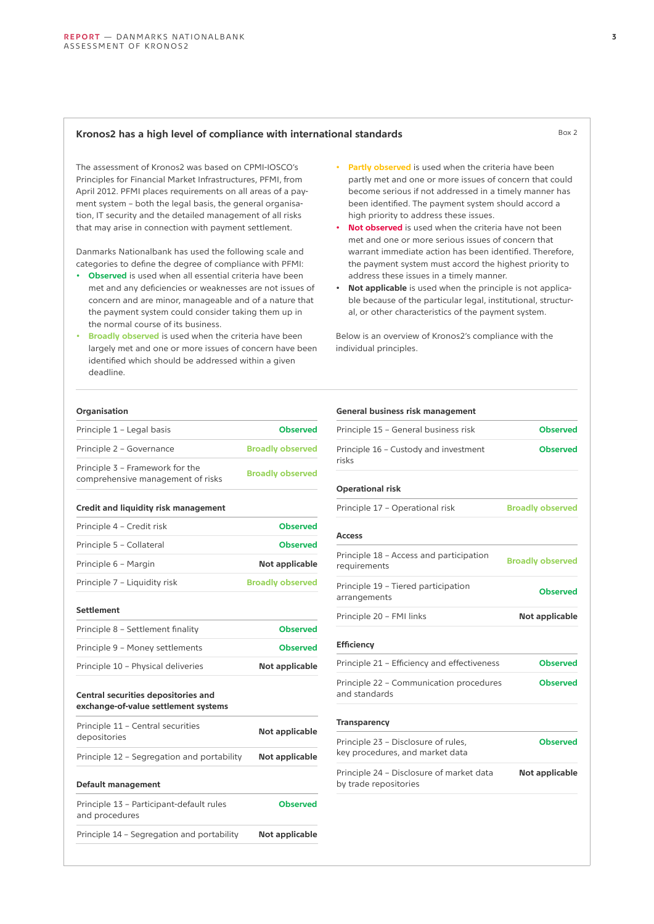# <span id="page-2-0"></span>Kronos2 has a high level of compliance with international standards<br>Box 2

The assessment of Kronos2 was based on CPMI-IOSCO's Principles for Financial Market Infrastructures, PFMI, from April 2012. PFMI places requirements on all areas of a payment system – both the legal basis, the general organisation, IT security and the detailed management of all risks that may arise in connection with payment settlement.

Danmarks Nationalbank has used the following scale and categories to define the degree of compliance with PFMI:

- **Observed** is used when all essential criteria have been met and any deficiencies or weaknesses are not issues of concern and are minor, manageable and of a nature that the payment system could consider taking them up in the normal course of its business.
- **Broadly observed** is used when the criteria have been largely met and one or more issues of concern have been identified which should be addressed within a given deadline.
- **Partly observed** is used when the criteria have been partly met and one or more issues of concern that could become serious if not addressed in a timely manner has been identified. The payment system should accord a high priority to address these issues.
- **Not observed** is used when the criteria have not been met and one or more serious issues of concern that warrant immediate action has been identified. Therefore, the payment system must accord the highest priority to address these issues in a timely manner.
- **Not applicable** is used when the principle is not applicable because of the particular legal, institutional, structural, or other characteristics of the payment system.

Below is an overview of Kronos2's compliance with the individual principles.

#### **Organisation**

| Principle 1 - Legal basis                                                   | <b>Observed</b>         |
|-----------------------------------------------------------------------------|-------------------------|
| Principle 2 - Governance                                                    | <b>Broadly observed</b> |
| Principle 3 - Framework for the<br>comprehensive management of risks        | <b>Broadly observed</b> |
| Credit and liquidity risk management                                        |                         |
| Principle 4 - Credit risk                                                   | <b>Observed</b>         |
| Principle 5 - Collateral                                                    | <b>Observed</b>         |
| Principle 6 - Margin                                                        | Not applicable          |
| Principle 7 - Liquidity risk                                                | <b>Broadly observed</b> |
| <b>Settlement</b>                                                           |                         |
| Principle 8 - Settlement finality                                           | <b>Observed</b>         |
| Principle 9 - Money settlements                                             | <b>Observed</b>         |
| Principle 10 - Physical deliveries                                          | Not applicable          |
| Central securities depositories and<br>exchange-of-value settlement systems |                         |
| Principle 11 - Central securities<br>depositories                           | Not applicable          |
| Principle 12 - Segregation and portability                                  | Not applicable          |
| Default management                                                          |                         |
| Principle 13 - Participant-default rules<br>and procedures                  | <b>Observed</b>         |
| Principle 14 - Segregation and portability                                  | Not applicable          |

| General business risk management                                       |                         |
|------------------------------------------------------------------------|-------------------------|
| Principle 15 - General business risk                                   | <b>Observed</b>         |
| Principle 16 - Custody and investment<br>risks                         | <b>Observed</b>         |
| <b>Operational risk</b>                                                |                         |
| Principle 17 - Operational risk                                        | <b>Broadly observed</b> |
| Access                                                                 |                         |
| Principle 18 - Access and participation<br>requirements                | <b>Broadly observed</b> |
| Principle 19 - Tiered participation<br>arrangements                    | <b>Observed</b>         |
| Principle 20 - FMI links                                               | Not applicable          |
| <b>Efficiency</b>                                                      |                         |
| Principle 21 - Efficiency and effectiveness                            | <b>Observed</b>         |
| Principle 22 - Communication procedures<br>and standards               | <b>Observed</b>         |
| <b>Transparency</b>                                                    |                         |
| Principle 23 - Disclosure of rules,<br>key procedures, and market data | <b>Observed</b>         |
|                                                                        | Not applicable          |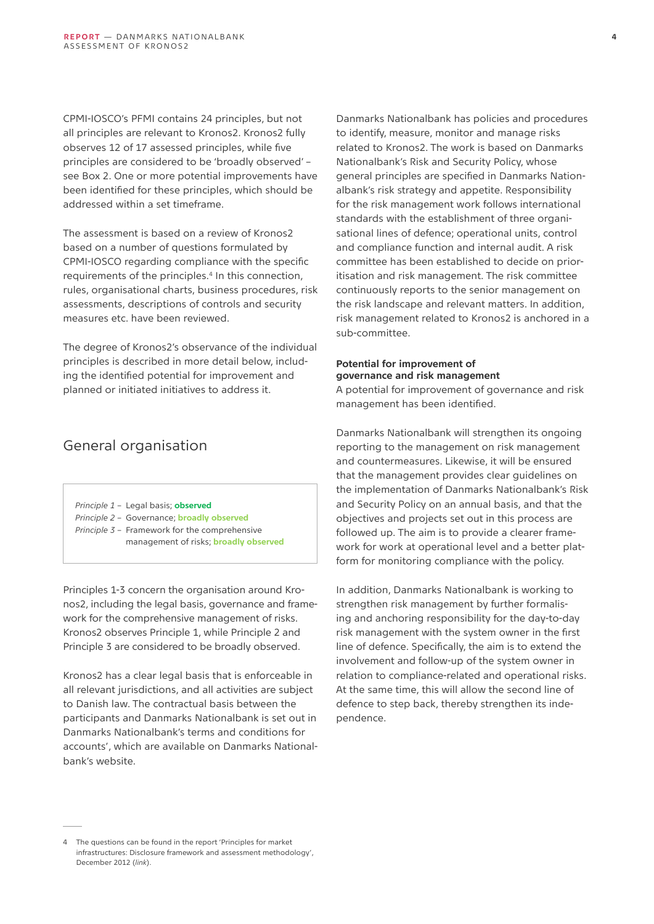<span id="page-3-0"></span>CPMI-IOSCO's PFMI contains 24 principles, but not all principles are relevant to Kronos2. Kronos2 fully observes 12 of 17 assessed principles, while five principles are considered to be 'broadly observed' – see Box 2. One or more potential improvements have been identified for these principles, which should be addressed within a set timeframe.

The assessment is based on a review of Kronos2 based on a number of questions formulated by CPMI-IOSCO regarding compliance with the specific requirements of the principles.<sup>4</sup> In this connection, rules, organisational charts, business procedures, risk assessments, descriptions of controls and security measures etc. have been reviewed.

The degree of Kronos2's observance of the individual principles is described in more detail below, including the identified potential for improvement and planned or initiated initiatives to address it.

# General organisation

- *Principle 1*  Legal basis; **observed**
- *Principle 2*  Governance; **broadly observed**
- *Principle 3*  Framework for the comprehensive management of risks; **broadly observed**

Principles 1-3 concern the organisation around Kronos2, including the legal basis, governance and framework for the comprehensive management of risks. Kronos2 observes Principle 1, while Principle 2 and Principle 3 are considered to be broadly observed.

Kronos2 has a clear legal basis that is enforceable in all relevant jurisdictions, and all activities are subject to Danish law. The contractual basis between the participants and Danmarks Nationalbank is set out in Danmarks Nationalbank's terms and conditions for accounts', which are available on Danmarks Nationalbank's website.

Danmarks Nationalbank has policies and procedures to identify, measure, monitor and manage risks related to Kronos2. The work is based on Danmarks Nationalbank's Risk and Security Policy, whose general principles are specified in Danmarks Nationalbank's risk strategy and appetite. Responsibility for the risk management work follows international standards with the establishment of three organisational lines of defence; operational units, control and compliance function and internal audit. A risk committee has been established to decide on prioritisation and risk management. The risk committee continuously reports to the senior management on the risk landscape and relevant matters. In addition, risk management related to Kronos2 is anchored in a sub-committee.

# **Potential for improvement of governance and risk management**

A potential for improvement of governance and risk management has been identified.

Danmarks Nationalbank will strengthen its ongoing reporting to the management on risk management and countermeasures. Likewise, it will be ensured that the management provides clear guidelines on the implementation of Danmarks Nationalbank's Risk and Security Policy on an annual basis, and that the objectives and projects set out in this process are followed up. The aim is to provide a clearer framework for work at operational level and a better platform for monitoring compliance with the policy.

In addition, Danmarks Nationalbank is working to strengthen risk management by further formalising and anchoring responsibility for the day-to-day risk management with the system owner in the first line of defence. Specifically, the aim is to extend the involvement and follow-up of the system owner in relation to compliance-related and operational risks. At the same time, this will allow the second line of defence to step back, thereby strengthen its independence.

<sup>4</sup> The questions can be found in the report 'Principles for market infrastructures: Disclosure framework and assessment methodology', December 2012 (*l[ink](https://www.bis.org/cpmi/publ/d106.pdf)*).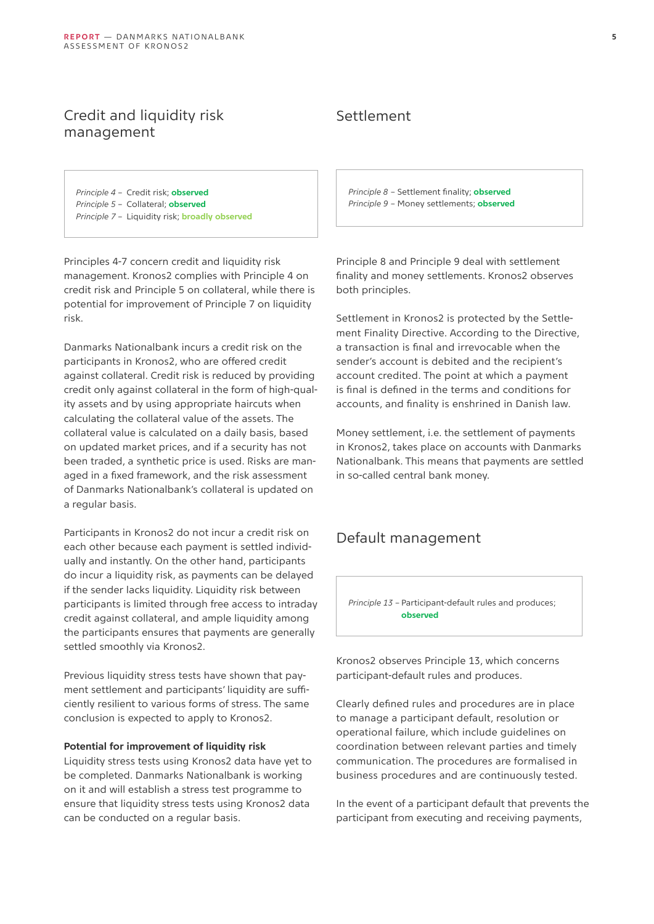# <span id="page-4-0"></span>Credit and liquidity risk management

*Principle 4* – Credit risk; **observed** *Principle 5* – Collateral; **observed** *Principle 7* – Liquidity risk; **broadly observed**

Principles 4-7 concern credit and liquidity risk management. Kronos2 complies with Principle 4 on credit risk and Principle 5 on collateral, while there is potential for improvement of Principle 7 on liquidity risk.

Danmarks Nationalbank incurs a credit risk on the participants in Kronos2, who are offered credit against collateral. Credit risk is reduced by providing credit only against collateral in the form of high-quality assets and by using appropriate haircuts when calculating the collateral value of the assets. The collateral value is calculated on a daily basis, based on updated market prices, and if a security has not been traded, a synthetic price is used. Risks are managed in a fixed framework, and the risk assessment of Danmarks Nationalbank's collateral is updated on a regular basis.

Participants in Kronos2 do not incur a credit risk on each other because each payment is settled individually and instantly. On the other hand, participants do incur a liquidity risk, as payments can be delayed if the sender lacks liquidity. Liquidity risk between participants is limited through free access to intraday credit against collateral, and ample liquidity among the participants ensures that payments are generally settled smoothly via Kronos2.

Previous liquidity stress tests have shown that payment settlement and participants' liquidity are sufficiently resilient to various forms of stress. The same conclusion is expected to apply to Kronos2.

#### **Potential for improvement of liquidity risk**

Liquidity stress tests using Kronos2 data have yet to be completed. Danmarks Nationalbank is working on it and will establish a stress test programme to ensure that liquidity stress tests using Kronos2 data can be conducted on a regular basis.

# Settlement

*Principle 8* – Settlement finality; **observed** *Principle 9* – Money settlements; **observed**

Principle 8 and Principle 9 deal with settlement finality and money settlements. Kronos2 observes both principles.

Settlement in Kronos2 is protected by the Settlement Finality Directive. According to the Directive, a transaction is final and irrevocable when the sender's account is debited and the recipient's account credited. The point at which a payment is final is defined in the terms and conditions for accounts, and finality is enshrined in Danish law.

Money settlement, i.e. the settlement of payments in Kronos2, takes place on accounts with Danmarks Nationalbank. This means that payments are settled in so-called central bank money.

# Default management

*Principle 13* – Participant-default rules and produces; **observed**

Kronos2 observes Principle 13, which concerns participant-default rules and produces.

Clearly defined rules and procedures are in place to manage a participant default, resolution or operational failure, which include guidelines on coordination between relevant parties and timely communication. The procedures are formalised in business procedures and are continuously tested.

In the event of a participant default that prevents the participant from executing and receiving payments,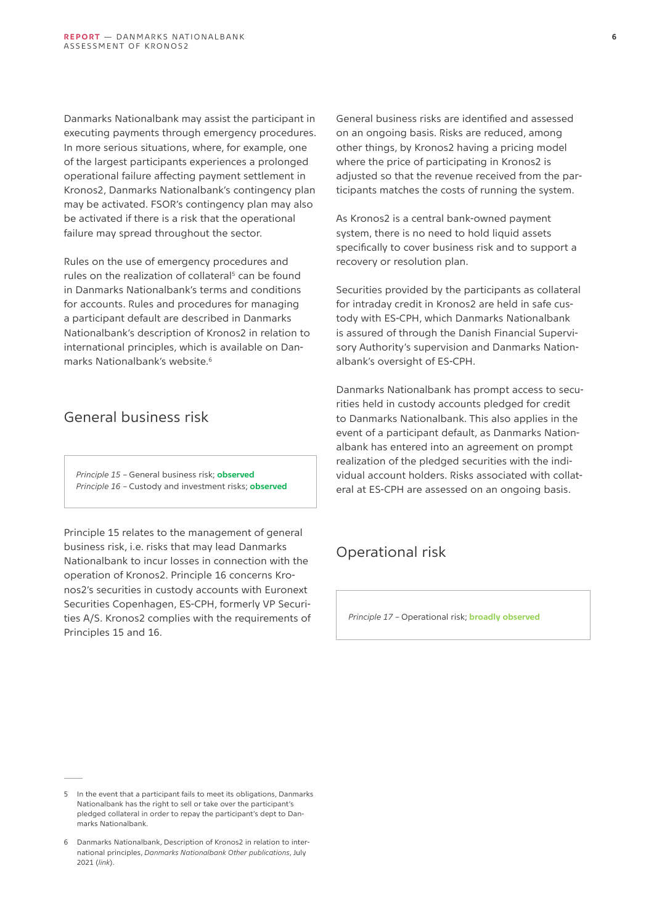<span id="page-5-0"></span>Danmarks Nationalbank may assist the participant in executing payments through emergency procedures. In more serious situations, where, for example, one of the largest participants experiences a prolonged operational failure affecting payment settlement in Kronos2, Danmarks Nationalbank's contingency plan may be activated. FSOR's contingency plan may also be activated if there is a risk that the operational failure may spread throughout the sector.

Rules on the use of emergency procedures and rules on the realization of collateral<sup>5</sup> can be found in Danmarks Nationalbank's terms and conditions for accounts. Rules and procedures for managing a participant default are described in Danmarks Nationalbank's description of Kronos2 in relation to international principles, which is available on Danmarks Nationalbank's website.6

# General business risk

*Principle 15* – General business risk; **observed** *Principle 16* – Custody and investment risks; **observed**

Principle 15 relates to the management of general business risk, i.e. risks that may lead Danmarks Nationalbank to incur losses in connection with the operation of Kronos2. Principle 16 concerns Kronos2's securities in custody accounts with Euronext Securities Copenhagen, ES-CPH, formerly VP Securities A/S. Kronos2 complies with the requirements of Principles 15 and 16.

General business risks are identified and assessed on an ongoing basis. Risks are reduced, among other things, by Kronos2 having a pricing model where the price of participating in Kronos2 is adjusted so that the revenue received from the participants matches the costs of running the system.

As Kronos2 is a central bank-owned payment system, there is no need to hold liquid assets specifically to cover business risk and to support a recovery or resolution plan.

Securities provided by the participants as collateral for intraday credit in Kronos2 are held in safe custody with ES-CPH, which Danmarks Nationalbank is assured of through the Danish Financial Supervisory Authority's supervision and Danmarks Nationalbank's oversight of ES-CPH.

Danmarks Nationalbank has prompt access to securities held in custody accounts pledged for credit to Danmarks Nationalbank. This also applies in the event of a participant default, as Danmarks Nationalbank has entered into an agreement on prompt realization of the pledged securities with the individual account holders. Risks associated with collateral at ES-CPH are assessed on an ongoing basis.

# Operational risk

*Principle 17* – Operational risk; **broadly observed**

<sup>5</sup> In the event that a participant fails to meet its obligations, Danmarks Nationalbank has the right to sell or take over the participant's pledged collateral in order to repay the participant's dept to Danmarks Nationalbank.

<sup>6</sup> Danmarks Nationalbank, Description of Kronos2 in relation to international principles, *Danmarks Nationalbank Other publications*, July 2021 (*[link](https://www.nationalbanken.dk/en/publications/Documents/2016/12/Description%20of%20Kronos.pdf)*).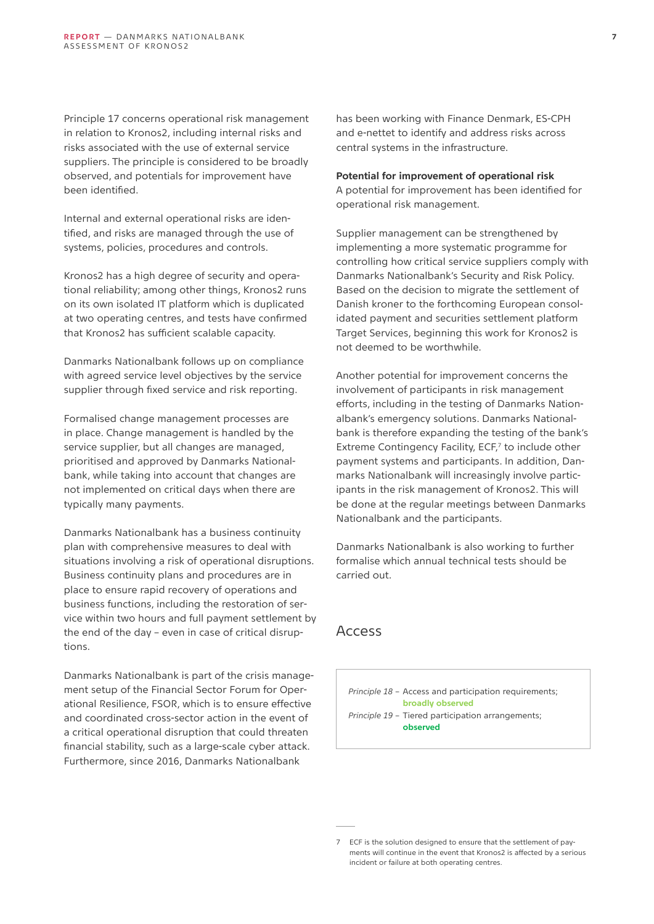<span id="page-6-0"></span>Principle 17 concerns operational risk management in relation to Kronos2, including internal risks and risks associated with the use of external service suppliers. The principle is considered to be broadly observed, and potentials for improvement have been identified.

Internal and external operational risks are identified, and risks are managed through the use of systems, policies, procedures and controls.

Kronos2 has a high degree of security and operational reliability; among other things, Kronos2 runs on its own isolated IT platform which is duplicated at two operating centres, and tests have confirmed that Kronos2 has sufficient scalable capacity.

Danmarks Nationalbank follows up on compliance with agreed service level objectives by the service supplier through fixed service and risk reporting.

Formalised change management processes are in place. Change management is handled by the service supplier, but all changes are managed, prioritised and approved by Danmarks Nationalbank, while taking into account that changes are not implemented on critical days when there are typically many payments.

Danmarks Nationalbank has a business continuity plan with comprehensive measures to deal with situations involving a risk of operational disruptions. Business continuity plans and procedures are in place to ensure rapid recovery of operations and business functions, including the restoration of service within two hours and full payment settlement by the end of the day – even in case of critical disruptions.

Danmarks Nationalbank is part of the crisis management setup of the Financial Sector Forum for Operational Resilience, FSOR, which is to ensure effective and coordinated cross-sector action in the event of a critical operational disruption that could threaten financial stability, such as a large-scale cyber attack. Furthermore, since 2016, Danmarks Nationalbank

has been working with Finance Denmark, ES-CPH and e-nettet to identify and address risks across central systems in the infrastructure.

#### **Potential for improvement of operational risk**

A potential for improvement has been identified for operational risk management.

Supplier management can be strengthened by implementing a more systematic programme for controlling how critical service suppliers comply with Danmarks Nationalbank's Security and Risk Policy. Based on the decision to migrate the settlement of Danish kroner to the forthcoming European consolidated payment and securities settlement platform Target Services, beginning this work for Kronos2 is not deemed to be worthwhile.

Another potential for improvement concerns the involvement of participants in risk management efforts, including in the testing of Danmarks Nationalbank's emergency solutions. Danmarks Nationalbank is therefore expanding the testing of the bank's Extreme Contingency Facility, ECF,7 to include other payment systems and participants. In addition, Danmarks Nationalbank will increasingly involve participants in the risk management of Kronos2. This will be done at the regular meetings between Danmarks Nationalbank and the participants.

Danmarks Nationalbank is also working to further formalise which annual technical tests should be carried out.

# Access

*Principle 18* – Access and participation requirements; **broadly observed** *Principle 19* – Tiered participation arrangements; **observed**

<sup>7</sup> ECF is the solution designed to ensure that the settlement of payments will continue in the event that Kronos2 is affected by a serious incident or failure at both operating centres.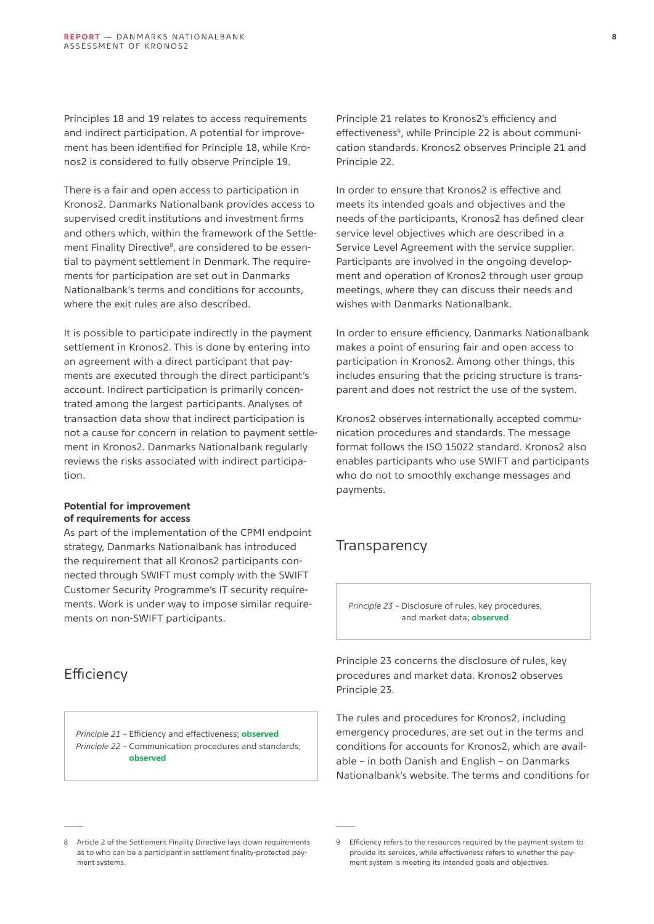<span id="page-7-0"></span>Principles 18 and 19 relates to access requirements and indirect participation. A potential for improvement has been identified for Principle 18, while Kronos2 is considered to fully observe Principle 19.

There is a fair and open access to participation in Kronos2. Danmarks Nationalbank provides access to supervised credit institutions and investment firms and others which, within the framework of the Settlement Finality Directive<sup>8</sup>, are considered to be essential to payment settlement in Denmark. The requirements for participation are set out in Danmarks Nationalbank's terms and conditions for accounts, where the exit rules are also described.

It is possible to participate indirectly in the payment settlement in Kronos2. This is done by entering into an agreement with a direct participant that payments are executed through the direct participant's account. Indirect participation is primarily concentrated among the largest participants. Analyses of transaction data show that indirect participation is not a cause for concern in relation to payment settlement in Kronos2. Danmarks Nationalbank regularly reviews the risks associated with indirect participation.

#### **Potential for improvement of requirements for access**

As part of the implementation of the CPMI endpoint strategy, Danmarks Nationalbank has introduced the requirement that all Kronos2 participants connected through SWIFT must comply with the SWIFT Customer Security Programme's IT security requirements. Work is under way to impose similar requirements on non-SWIFT participants.

# **Efficiency**

*Principle 21* – Efficiency and effectiveness; **observed** *Principle 22* – Communication procedures and standards; **observed**

Principle 21 relates to Kronos2's efficiency and effectiveness<sup>9</sup>, while Principle 22 is about communication standards. Kronos2 observes Principle 21 and Principle 22.

In order to ensure that Kronos2 is effective and meets its intended goals and objectives and the needs of the participants, Kronos2 has defined clear service level objectives which are described in a Service Level Agreement with the service supplier. Participants are involved in the ongoing development and operation of Kronos2 through user group meetings, where they can discuss their needs and wishes with Danmarks Nationalbank.

In order to ensure efficiency, Danmarks Nationalbank makes a point of ensuring fair and open access to participation in Kronos2. Among other things, this includes ensuring that the pricing structure is transparent and does not restrict the use of the system.

Kronos2 observes internationally accepted communication procedures and standards. The message format follows the ISO 15022 standard. Kronos2 also enables participants who use SWIFT and participants who do not to smoothly exchange messages and payments.

# **Transparency**

*Principle 23* – Disclosure of rules, key procedures, and market data; **observed**

Principle 23 concerns the disclosure of rules, key procedures and market data. Kronos2 observes Principle 23.

The rules and procedures for Kronos2, including emergency procedures, are set out in the terms and conditions for accounts for Kronos2, which are available – in both Danish and English – on Danmarks Nationalbank's website. The terms and conditions for

<sup>8</sup> Article 2 of the Settlement Finality Directive lays down requirements as to who can be a participant in settlement finality-protected payment systems.

<sup>9</sup> Efficiency refers to the resources required by the payment system to provide its services, while effectiveness refers to whether the payment system is meeting its intended goals and objectives.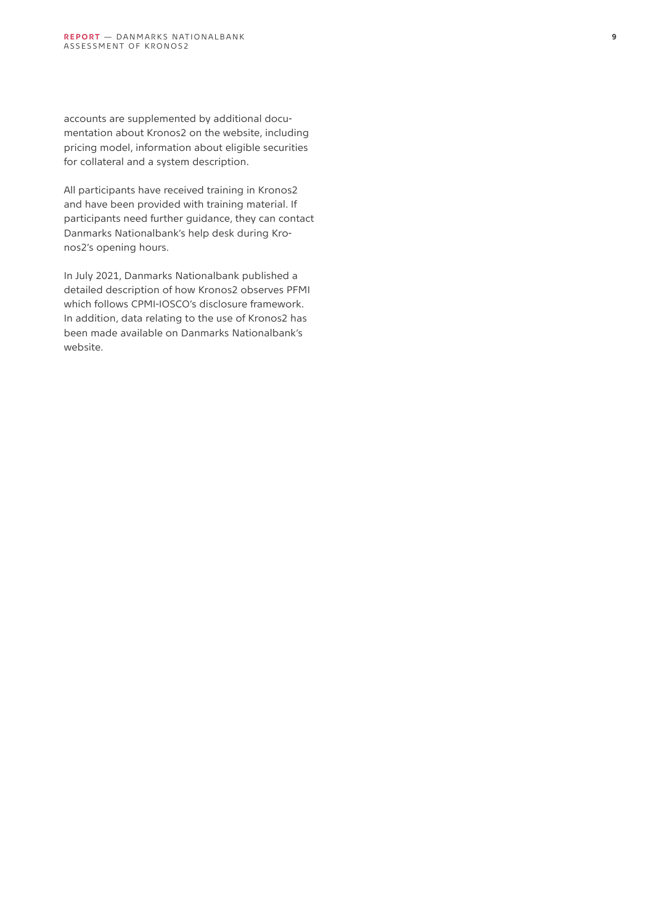accounts are supplemented by additional docu mentation about Kronos2 on the website, including pricing model, information about eligible securities for collateral and a system description.

All participants have received training in Kronos2 and have been provided with training material. If participants need further guidance, they can contact Danmarks Nationalbank's help desk during Kro nos2's opening hours.

In July 2021, Danmarks Nationalbank published a detailed description of how Kronos2 observes PFMI which follows CPMI-IOSCO's disclosure framework. In addition, data relating to the use of Kronos2 has been made available on Danmarks Nationalbank's website.